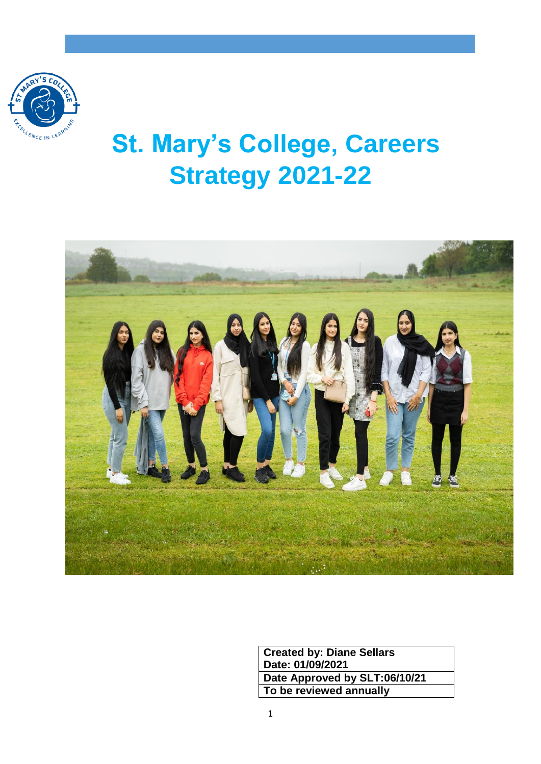

# **St. Mary's College, Careers Strategy 2021-22**



**Created by: Diane Sellars Date: 01/09/2021 Date Approved by SLT:06/10/21 To be reviewed annually**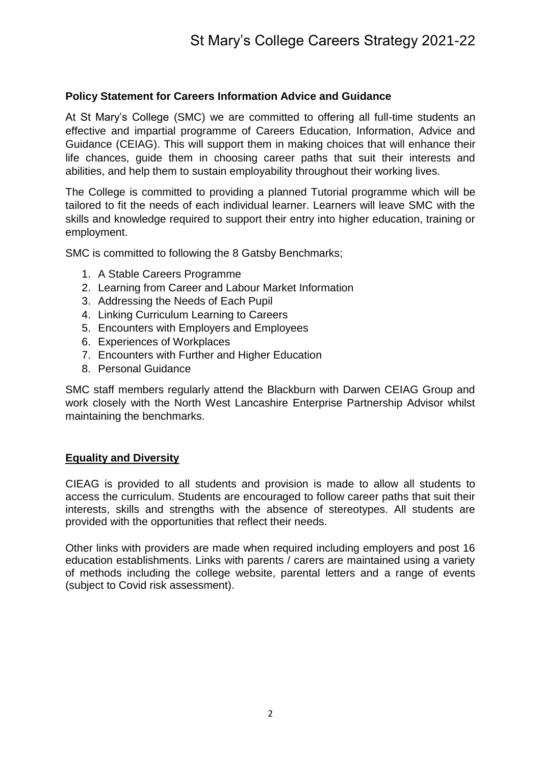## **Policy Statement for Careers Information Advice and Guidance**

At St Mary's College (SMC) we are committed to offering all full-time students an effective and impartial programme of Careers Education, Information, Advice and Guidance (CEIAG). This will support them in making choices that will enhance their life chances, guide them in choosing career paths that suit their interests and abilities, and help them to sustain employability throughout their working lives.

The College is committed to providing a planned Tutorial programme which will be tailored to fit the needs of each individual learner. Learners will leave SMC with the skills and knowledge required to support their entry into higher education, training or employment.

SMC is committed to following the 8 Gatsby Benchmarks;

- 1. A Stable Careers Programme
- 2. Learning from Career and Labour Market Information
- 3. Addressing the Needs of Each Pupil
- 4. Linking Curriculum Learning to Careers
- 5. Encounters with Employers and Employees
- 6. Experiences of Workplaces
- 7. Encounters with Further and Higher Education
- 8. Personal Guidance

SMC staff members regularly attend the Blackburn with Darwen CEIAG Group and work closely with the North West Lancashire Enterprise Partnership Advisor whilst maintaining the benchmarks.

#### **Equality and Diversity**

CIEAG is provided to all students and provision is made to allow all students to access the curriculum. Students are encouraged to follow career paths that suit their interests, skills and strengths with the absence of stereotypes. All students are provided with the opportunities that reflect their needs.

Other links with providers are made when required including employers and post 16 education establishments. Links with parents / carers are maintained using a variety of methods including the college website, parental letters and a range of events (subject to Covid risk assessment).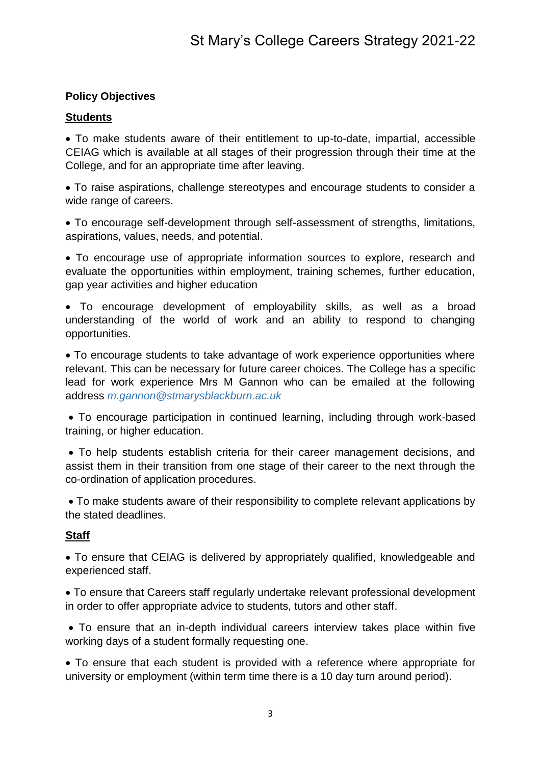## **Policy Objectives**

## **Students**

 To make students aware of their entitlement to up-to-date, impartial, accessible CEIAG which is available at all stages of their progression through their time at the College, and for an appropriate time after leaving.

 To raise aspirations, challenge stereotypes and encourage students to consider a wide range of careers.

 To encourage self-development through self-assessment of strengths, limitations, aspirations, values, needs, and potential.

 To encourage use of appropriate information sources to explore, research and evaluate the opportunities within employment, training schemes, further education, gap year activities and higher education

 To encourage development of employability skills, as well as a broad understanding of the world of work and an ability to respond to changing opportunities.

 To encourage students to take advantage of work experience opportunities where relevant. This can be necessary for future career choices. The College has a specific lead for work experience Mrs M Gannon who can be emailed at the following address *m.gannon@stmarysblackburn.ac.uk*

 To encourage participation in continued learning, including through work-based training, or higher education.

 To help students establish criteria for their career management decisions, and assist them in their transition from one stage of their career to the next through the co-ordination of application procedures.

 To make students aware of their responsibility to complete relevant applications by the stated deadlines.

## **Staff**

 To ensure that CEIAG is delivered by appropriately qualified, knowledgeable and experienced staff.

 To ensure that Careers staff regularly undertake relevant professional development in order to offer appropriate advice to students, tutors and other staff.

 To ensure that an in-depth individual careers interview takes place within five working days of a student formally requesting one.

 To ensure that each student is provided with a reference where appropriate for university or employment (within term time there is a 10 day turn around period).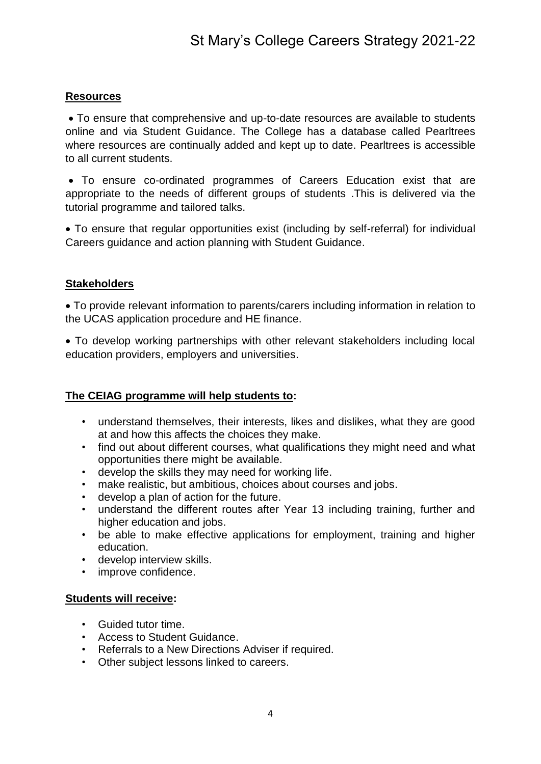## **Resources**

 To ensure that comprehensive and up-to-date resources are available to students online and via Student Guidance. The College has a database called Pearltrees where resources are continually added and kept up to date. Pearltrees is accessible to all current students.

 To ensure co-ordinated programmes of Careers Education exist that are appropriate to the needs of different groups of students .This is delivered via the tutorial programme and tailored talks.

 To ensure that regular opportunities exist (including by self-referral) for individual Careers guidance and action planning with Student Guidance.

## **Stakeholders**

 To provide relevant information to parents/carers including information in relation to the UCAS application procedure and HE finance.

 To develop working partnerships with other relevant stakeholders including local education providers, employers and universities.

## **The CEIAG programme will help students to:**

- understand themselves, their interests, likes and dislikes, what they are good at and how this affects the choices they make.
- find out about different courses, what qualifications they might need and what opportunities there might be available.
- develop the skills they may need for working life.
- make realistic, but ambitious, choices about courses and jobs.
- develop a plan of action for the future.
- understand the different routes after Year 13 including training, further and higher education and jobs.
- be able to make effective applications for employment, training and higher education.
- develop interview skills.
- improve confidence.

## **Students will receive:**

- Guided tutor time.
- Access to Student Guidance.
- Referrals to a New Directions Adviser if required.
- Other subject lessons linked to careers.